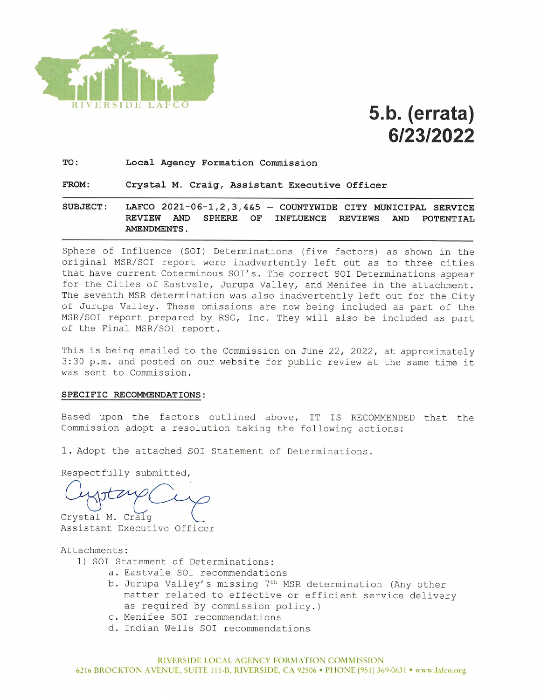

# 5.b. (errata) 6/23/2022

TO: Local Agency Formation Commission

#### FROM: Crystal M. Craig, Assistant Executive Officer

SUBJECT: LAFCO 2021-06-1, 2, 3, 4&5 - COUNTYWIDE CITY MUNICIPAL SERVICE SPHERE OF REVIEW AND **INFLUENCE REVIEWS** AND POTENTIAL AMENDMENTS.

Sphere of Influence (SOI) Determinations (five factors) as shown in the original MSR/SOI report were inadvertently left out as to three cities that have current Coterminous SOI's. The correct SOI Determinations appear for the Cities of Eastvale, Jurupa Valley, and Menifee in the attachment. The seventh MSR determination was also inadvertently left out for the City of Jurupa Valley. These omissions are now being included as part of the MSR/SOI report prepared by RSG, Inc. They will also be included as part of the Final MSR/SOI report.

This is being emailed to the Commission on June 22, 2022, at approximately 3:30 p.m. and posted on our website for public review at the same time it was sent to Commission.

#### SPECIFIC RECOMMENDATIONS:

Based upon the factors outlined above, IT IS RECOMMENDED that the Commission adopt a resolution taking the following actions:

1. Adopt the attached SOI Statement of Determinations.

Respectfully submitted,

Crystal M. Craig

Assistant Executive Officer

#### Attachments:

- 1) SOI Statement of Determinations:
	- a. Eastvale SOI recommendations
	- b. Jurupa Valley's missing 7th MSR determination (Any other matter related to effective or efficient service delivery as required by commission policy.)
	- c. Menifee SOI recommendations
	- d. Indian Wells SOI recommendations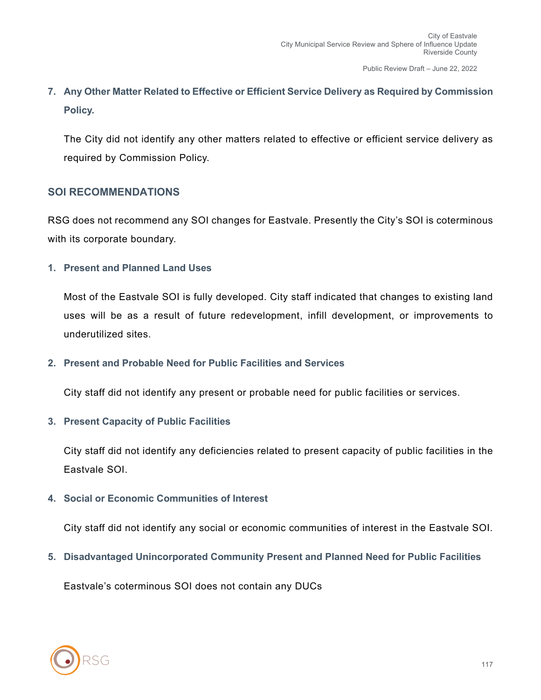## **7. Any Other Matter Related to Effective or Efficient Service Delivery as Required by Commission Policy.**

The City did not identify any other matters related to effective or efficient service delivery as required by Commission Policy.

#### **SOI RECOMMENDATIONS**

RSG does not recommend any SOI changes for Eastvale. Presently the City's SOI is coterminous with its corporate boundary.

#### **1. Present and Planned Land Uses**

Most of the Eastvale SOI is fully developed. City staff indicated that changes to existing land uses will be as a result of future redevelopment, infill development, or improvements to underutilized sites.

#### **2. Present and Probable Need for Public Facilities and Services**

City staff did not identify any present or probable need for public facilities or services.

#### **3. Present Capacity of Public Facilities**

City staff did not identify any deficiencies related to present capacity of public facilities in the Eastvale SOI.

### **4. Social or Economic Communities of Interest**

City staff did not identify any social or economic communities of interest in the Eastvale SOI.

**5. Disadvantaged Unincorporated Community Present and Planned Need for Public Facilities**

Eastvale's coterminous SOI does not contain any DUCs

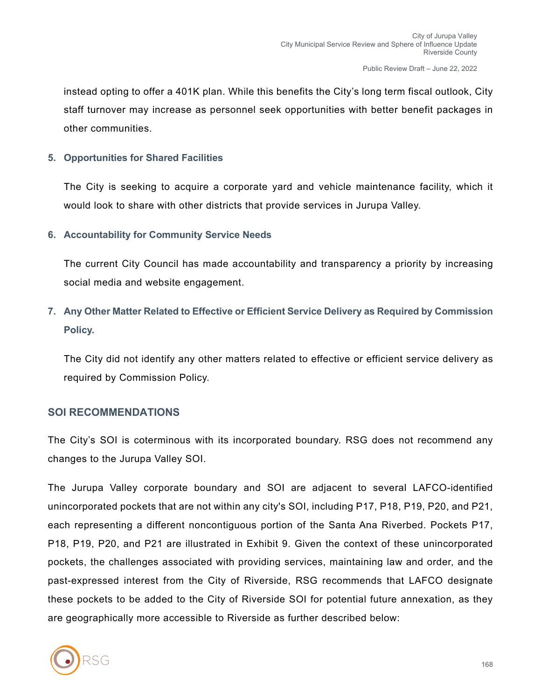instead opting to offer a 401K plan. While this benefits the City's long term fiscal outlook, City staff turnover may increase as personnel seek opportunities with better benefit packages in other communities.

#### **5. Opportunities for Shared Facilities**

The City is seeking to acquire a corporate yard and vehicle maintenance facility, which it would look to share with other districts that provide services in Jurupa Valley.

**6. Accountability for Community Service Needs**

The current City Council has made accountability and transparency a priority by increasing social media and website engagement.

**7. Any Other Matter Related to Effective or Efficient Service Delivery as Required by Commission Policy.**

The City did not identify any other matters related to effective or efficient service delivery as required by Commission Policy.

#### **SOI RECOMMENDATIONS**

The City's SOI is coterminous with its incorporated boundary. RSG does not recommend any changes to the Jurupa Valley SOI.

The Jurupa Valley corporate boundary and SOI are adjacent to several LAFCO-identified unincorporated pockets that are not within any city's SOI, including P17, P18, P19, P20, and P21, each representing a different noncontiguous portion of the Santa Ana Riverbed. Pockets P17, P18, P19, P20, and P21 are illustrated in Exhibit 9. Given the context of these unincorporated pockets, the challenges associated with providing services, maintaining law and order, and the past-expressed interest from the City of Riverside, RSG recommends that LAFCO designate these pockets to be added to the City of Riverside SOI for potential future annexation, as they are geographically more accessible to Riverside as further described below:

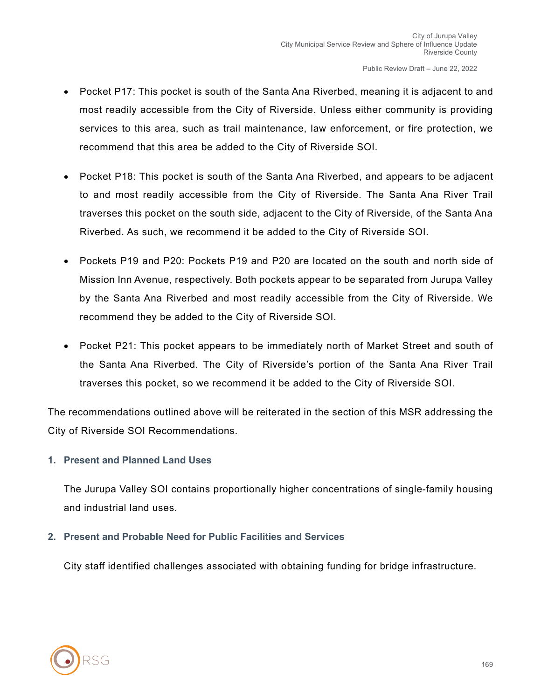- Pocket P17: This pocket is south of the Santa Ana Riverbed, meaning it is adjacent to and most readily accessible from the City of Riverside. Unless either community is providing services to this area, such as trail maintenance, law enforcement, or fire protection, we recommend that this area be added to the City of Riverside SOI.
- Pocket P18: This pocket is south of the Santa Ana Riverbed, and appears to be adjacent to and most readily accessible from the City of Riverside. The Santa Ana River Trail traverses this pocket on the south side, adjacent to the City of Riverside, of the Santa Ana Riverbed. As such, we recommend it be added to the City of Riverside SOI.
- Pockets P19 and P20: Pockets P19 and P20 are located on the south and north side of Mission Inn Avenue, respectively. Both pockets appear to be separated from Jurupa Valley by the Santa Ana Riverbed and most readily accessible from the City of Riverside. We recommend they be added to the City of Riverside SOI.
- Pocket P21: This pocket appears to be immediately north of Market Street and south of the Santa Ana Riverbed. The City of Riverside's portion of the Santa Ana River Trail traverses this pocket, so we recommend it be added to the City of Riverside SOI.

The recommendations outlined above will be reiterated in the section of this MSR addressing the City of Riverside SOI Recommendations.

#### **1. Present and Planned Land Uses**

The Jurupa Valley SOI contains proportionally higher concentrations of single-family housing and industrial land uses.

#### **2. Present and Probable Need for Public Facilities and Services**

City staff identified challenges associated with obtaining funding for bridge infrastructure.

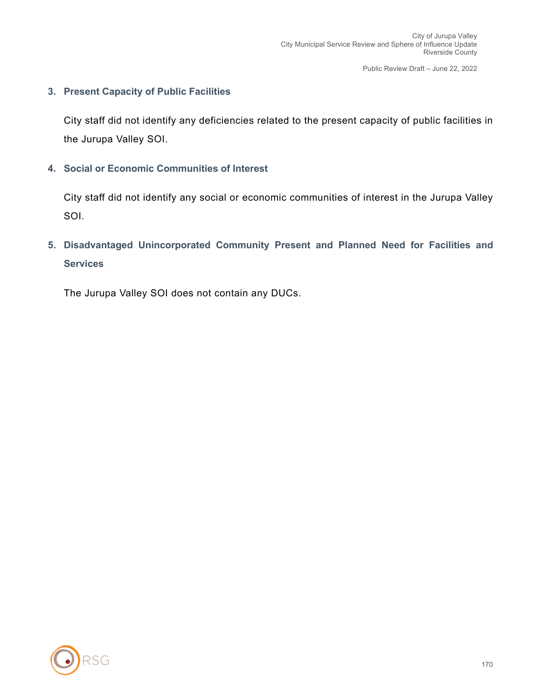#### **3. Present Capacity of Public Facilities**

City staff did not identify any deficiencies related to the present capacity of public facilities in the Jurupa Valley SOI.

**4. Social or Economic Communities of Interest**

City staff did not identify any social or economic communities of interest in the Jurupa Valley SOI.

**5. Disadvantaged Unincorporated Community Present and Planned Need for Facilities and Services**

The Jurupa Valley SOI does not contain any DUCs.

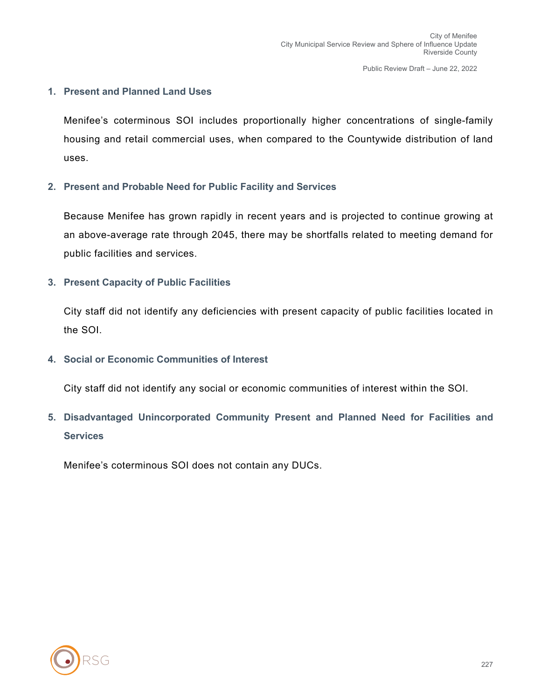#### **1. Present and Planned Land Uses**

Menifee's coterminous SOI includes proportionally higher concentrations of single-family housing and retail commercial uses, when compared to the Countywide distribution of land uses.

#### **2. Present and Probable Need for Public Facility and Services**

Because Menifee has grown rapidly in recent years and is projected to continue growing at an above-average rate through 2045, there may be shortfalls related to meeting demand for public facilities and services.

#### **3. Present Capacity of Public Facilities**

City staff did not identify any deficiencies with present capacity of public facilities located in the SOI.

#### **4. Social or Economic Communities of Interest**

City staff did not identify any social or economic communities of interest within the SOI.

**5. Disadvantaged Unincorporated Community Present and Planned Need for Facilities and Services**

Menifee's coterminous SOI does not contain any DUCs.